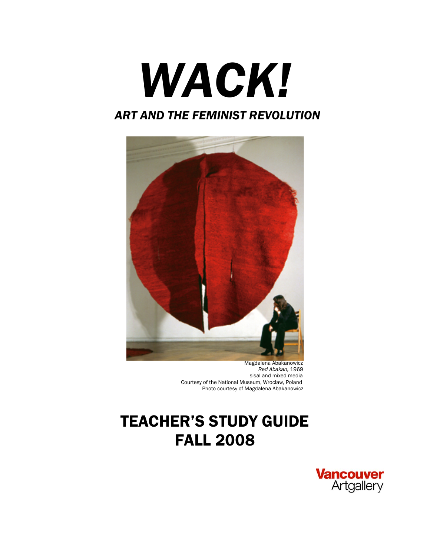# *WACK!*

## *ART AND THE FEMINIST REVOLUTION*



 Magdalena Abakanowicz *Red Abakan,* 1969 sisal and mixed media Courtesy of the National Museum, Wroclaw, Poland Photo courtesy of Magdalena Abakanowicz

# TEACHER'S STUDY GUIDE FALL 2008

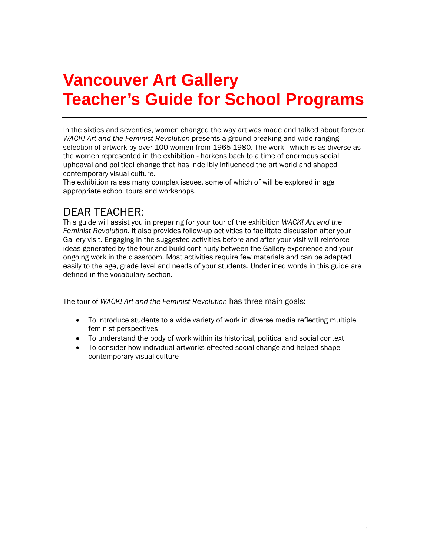## **Vancouver Art Gallery Teacher's Guide for School Programs**

In the sixties and seventies, women changed the way art was made and talked about forever. *WACK! Art and the Feminist Revolution* presents a ground-breaking and wide-ranging selection of artwork by over 100 women from 1965-1980. The work - which is as diverse as the women represented in the exhibition - harkens back to a time of enormous social upheaval and political change that has indelibly influenced the art world and shaped contemporary visual culture.

The exhibition raises many complex issues, some of which of will be explored in age appropriate school tours and workshops.

## DEAR TEACHER:

This guide will assist you in preparing for your tour of the exhibition *WACK! Art and the Feminist Revolution.* It also provides follow-up activities to facilitate discussion after your Gallery visit. Engaging in the suggested activities before and after your visit will reinforce ideas generated by the tour and build continuity between the Gallery experience and your ongoing work in the classroom. Most activities require few materials and can be adapted easily to the age, grade level and needs of your students. Underlined words in this guide are defined in the vocabulary section.

The tour of *WACK! Art and the Feminist Revolution* has three main goals:

- To introduce students to a wide variety of work in diverse media reflecting multiple feminist perspectives
- To understand the body of work within its historical, political and social context
- To consider how individual artworks effected social change and helped shape contemporary visual culture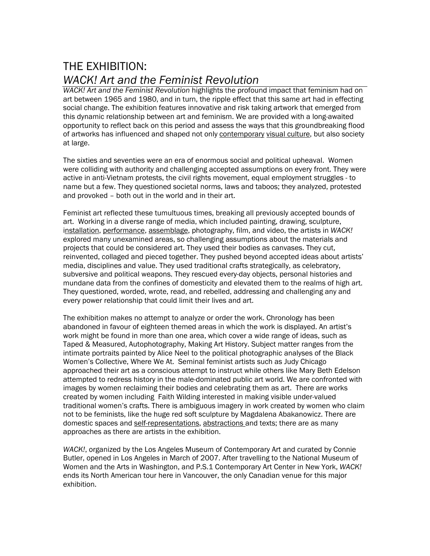## THE EXHIBITION: *WACK! Art and the Feminist Revolution*

*WACK! Art and the Feminist Revolution* highlights the profound impact that feminism had on art between 1965 and 1980, and in turn, the ripple effect that this same art had in effecting social change. The exhibition features innovative and risk taking artwork that emerged from this dynamic relationship between art and feminism. We are provided with a long-awaited opportunity to reflect back on this period and assess the ways that this groundbreaking flood of artworks has influenced and shaped not only contemporary visual culture, but also society at large.

The sixties and seventies were an era of enormous social and political upheaval. Women were colliding with authority and challenging accepted assumptions on every front. They were active in anti-Vietnam protests, the civil rights movement, equal employment struggles - to name but a few. They questioned societal norms, laws and taboos; they analyzed, protested and provoked – both out in the world and in their art.

Feminist art reflected these tumultuous times, breaking all previously accepted bounds of art. Working in a diverse range of media, which included painting, drawing, sculpture, installation, performance, assemblage, photography, film, and video, the artists in *WACK!*  explored many unexamined areas, so challenging assumptions about the materials and projects that could be considered art. They used their bodies as canvases. They cut, reinvented, collaged and pieced together. They pushed beyond accepted ideas about artists' media, disciplines and value. They used traditional crafts strategically, as celebratory, subversive and political weapons. They rescued every-day objects, personal histories and mundane data from the confines of domesticity and elevated them to the realms of high art. They questioned, worded, wrote, read, and rebelled, addressing and challenging any and every power relationship that could limit their lives and art.

The exhibition makes no attempt to analyze or order the work. Chronology has been abandoned in favour of eighteen themed areas in which the work is displayed. An artist's work might be found in more than one area, which cover a wide range of ideas, such as Taped & Measured, Autophotography, Making Art History. Subject matter ranges from the intimate portraits painted by Alice Neel to the political photographic analyses of the Black Women's Collective, Where We At. Seminal feminist artists such as Judy Chicago approached their art as a conscious attempt to instruct while others like Mary Beth Edelson attempted to redress history in the male-dominated public art world. We are confronted with images by women reclaiming their bodies and celebrating them as art. There are works created by women including Faith Wilding interested in making visible under-valued traditional women's crafts. There is ambiguous imagery in work created by women who claim not to be feminists, like the huge red soft sculpture by Magdalena Abakanowicz. There are domestic spaces and self-representations, abstractions and texts; there are as many approaches as there are artists in the exhibition.

*WACK!*, organized by the Los Angeles Museum of Contemporary Art and curated by Connie Butler, opened in Los Angeles in March of 2007. After travelling to the National Museum of Women and the Arts in Washington, and P.S.1 Contemporary Art Center in New York, *WACK!* ends its North American tour here in Vancouver, the only Canadian venue for this major exhibition.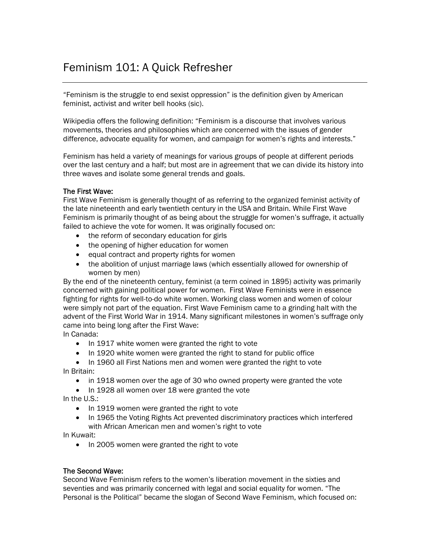## Feminism 101: A Quick Refresher

"Feminism is the struggle to end sexist oppression" is the definition given by American feminist, activist and writer bell hooks (sic).

Wikipedia offers the following definition: "Feminism is a discourse that involves various movements, theories and philosophies which are concerned with the issues of gender difference, advocate equality for women, and campaign for women's rights and interests."

Feminism has held a variety of meanings for various groups of people at different periods over the last century and a half; but most are in agreement that we can divide its history into three waves and isolate some general trends and goals.

#### The First Wave:

First Wave Feminism is generally thought of as referring to the organized feminist activity of the late nineteenth and early twentieth century in the USA and Britain. While First Wave Feminism is primarily thought of as being about the struggle for women's suffrage, it actually failed to achieve the vote for women. It was originally focused on:

- the reform of secondary education for girls
- the opening of higher education for women
- equal contract and property rights for women
- the abolition of unjust marriage laws (which essentially allowed for ownership of women by men)

By the end of the nineteenth century, feminist (a term coined in 1895) activity was primarily concerned with gaining political power for women. First Wave Feminists were in essence fighting for rights for well-to-do white women. Working class women and women of colour were simply not part of the equation. First Wave Feminism came to a grinding halt with the advent of the First World War in 1914. Many significant milestones in women's suffrage only came into being long after the First Wave:

In Canada:

- In 1917 white women were granted the right to vote
- In 1920 white women were granted the right to stand for public office

• In 1960 all First Nations men and women were granted the right to vote In Britain:

- in 1918 women over the age of 30 who owned property were granted the vote
- In 1928 all women over 18 were granted the vote

In the U.S.:

- In 1919 women were granted the right to vote
- In 1965 the Voting Rights Act prevented discriminatory practices which interfered with African American men and women's right to vote

In Kuwait:

• In 2005 women were granted the right to vote

#### The Second Wave:

Second Wave Feminism refers to the women's liberation movement in the sixties and seventies and was primarily concerned with legal and social equality for women. "The Personal is the Political" became the slogan of Second Wave Feminism, which focused on: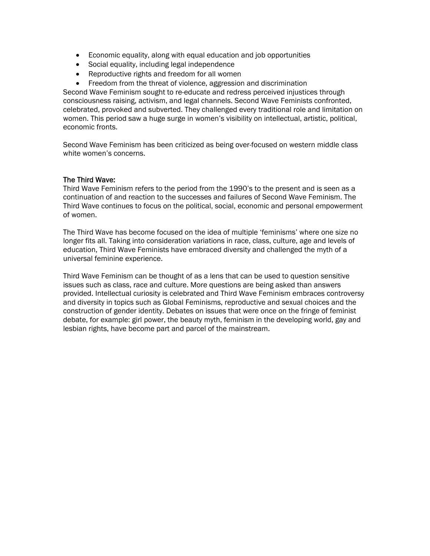- Economic equality, along with equal education and job opportunities
- Social equality, including legal independence
- Reproductive rights and freedom for all women
- Freedom from the threat of violence, aggression and discrimination

Second Wave Feminism sought to re-educate and redress perceived injustices through consciousness raising, activism, and legal channels. Second Wave Feminists confronted, celebrated, provoked and subverted. They challenged every traditional role and limitation on women. This period saw a huge surge in women's visibility on intellectual, artistic, political, economic fronts.

Second Wave Feminism has been criticized as being over-focused on western middle class white women's concerns.

#### The Third Wave:

Third Wave Feminism refers to the period from the 1990's to the present and is seen as a continuation of and reaction to the successes and failures of Second Wave Feminism. The Third Wave continues to focus on the political, social, economic and personal empowerment of women.

The Third Wave has become focused on the idea of multiple 'feminisms' where one size no longer fits all. Taking into consideration variations in race, class, culture, age and levels of education, Third Wave Feminists have embraced diversity and challenged the myth of a universal feminine experience.

Third Wave Feminism can be thought of as a lens that can be used to question sensitive issues such as class, race and culture. More questions are being asked than answers provided. Intellectual curiosity is celebrated and Third Wave Feminism embraces controversy and diversity in topics such as Global Feminisms, reproductive and sexual choices and the construction of gender identity. Debates on issues that were once on the fringe of feminist debate, for example: girl power, the beauty myth, feminism in the developing world, gay and lesbian rights, have become part and parcel of the mainstream.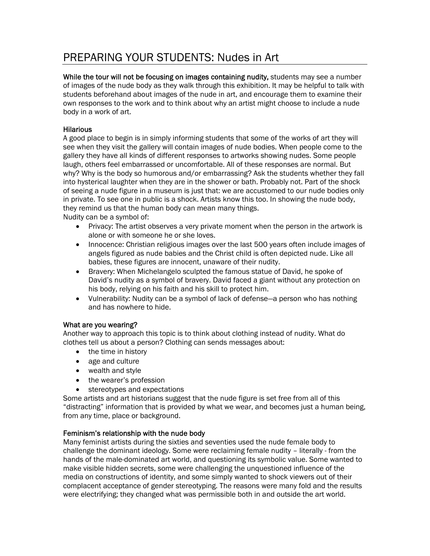## PREPARING YOUR STUDENTS: Nudes in Art

While the tour will not be focusing on images containing nudity, students may see a number of images of the nude body as they walk through this exhibition. It may be helpful to talk with students beforehand about images of the nude in art, and encourage them to examine their own responses to the work and to think about why an artist might choose to include a nude body in a work of art.

#### **Hilarious**

A good place to begin is in simply informing students that some of the works of art they will see when they visit the gallery will contain images of nude bodies. When people come to the gallery they have all kinds of different responses to artworks showing nudes. Some people laugh, others feel embarrassed or uncomfortable. All of these responses are normal. But why? Why is the body so humorous and/or embarrassing? Ask the students whether they fall into hysterical laughter when they are in the shower or bath. Probably not. Part of the shock of seeing a nude figure in a museum is just that: we are accustomed to our nude bodies only in private. To see one in public is a shock. Artists know this too. In showing the nude body, they remind us that the human body can mean many things. Nudity can be a symbol of:

- Privacy: The artist observes a very private moment when the person in the artwork is alone or with someone he or she loves.
- Innocence: Christian religious images over the last 500 years often include images of angels figured as nude babies and the Christ child is often depicted nude. Like all babies, these figures are innocent, unaware of their nudity.
- Bravery: When Michelangelo sculpted the famous statue of David, he spoke of David's nudity as a symbol of bravery. David faced a giant without any protection on his body, relying on his faith and his skill to protect him.
- Vulnerability: Nudity can be a symbol of lack of defense—a person who has nothing and has nowhere to hide.

#### What are you wearing?

Another way to approach this topic is to think about clothing instead of nudity. What do clothes tell us about a person? Clothing can sends messages about:

- the time in history
- age and culture
- wealth and style
- the wearer's profession
- stereotypes and expectations

Some artists and art historians suggest that the nude figure is set free from all of this "distracting" information that is provided by what we wear, and becomes just a human being, from any time, place or background.

#### Feminism's relationship with the nude body

Many feminist artists during the sixties and seventies used the nude female body to challenge the dominant ideology. Some were reclaiming female nudity – literally - from the hands of the male-dominated art world, and questioning its symbolic value. Some wanted to make visible hidden secrets, some were challenging the unquestioned influence of the media on constructions of identity, and some simply wanted to shock viewers out of their complacent acceptance of gender stereotyping. The reasons were many fold and the results were electrifying; they changed what was permissible both in and outside the art world.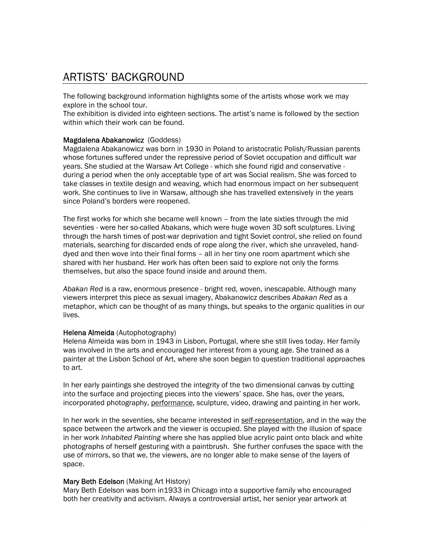## ARTISTS' BACKGROUND

The following background information highlights some of the artists whose work we may explore in the school tour.

The exhibition is divided into eighteen sections. The artist's name is followed by the section within which their work can be found.

#### Magdalena Abakanowicz (Goddess)

Magdalena Abakanowicz was born in 1930 in Poland to aristocratic Polish/Russian parents whose fortunes suffered under the repressive period of Soviet occupation and difficult war years. She studied at the Warsaw Art College - which she found rigid and conservative during a period when the only acceptable type of art was Social realism. She was forced to take classes in textile design and weaving, which had enormous impact on her subsequent work. She continues to live in Warsaw, although she has travelled extensively in the years since Poland's borders were reopened.

The first works for which she became well known – from the late sixties through the mid seventies - were her so-called Abakans, which were huge woven 3D soft sculptures. Living through the harsh times of post-war deprivation and tight Soviet control, she relied on found materials, searching for discarded ends of rope along the river, which she unraveled, handdyed and then wove into their final forms – all in her tiny one room apartment which she shared with her husband. Her work has often been said to explore not only the forms themselves, but also the space found inside and around them.

*Abakan Red* is a raw, enormous presence - bright red, woven, inescapable. Although many viewers interpret this piece as sexual imagery, Abakanowicz describes *Abakan Red* as a metaphor, which can be thought of as many things, but speaks to the organic qualities in our lives.

#### Helena Almeida (Autophotography)

Helena Almeida was born in 1943 in Lisbon, Portugal, where she still lives today. Her family was involved in the arts and encouraged her interest from a young age. She trained as a painter at the Lisbon School of Art, where she soon began to question traditional approaches to art.

In her early paintings she destroyed the integrity of the two dimensional canvas by cutting into the surface and projecting pieces into the viewers' space. She has, over the years, incorporated photography, performance, sculpture, video, drawing and painting in her work.

In her work in the seventies, she became interested in self-representation, and in the way the space between the artwork and the viewer is occupied. She played with the illusion of space in her work *Inhabited Painting* where she has applied blue acrylic paint onto black and white photographs of herself gesturing with a paintbrush. She further confuses the space with the use of mirrors, so that we, the viewers, are no longer able to make sense of the layers of space.

#### Mary Beth Edelson (Making Art History)

Mary Beth Edelson was born in1933 in Chicago into a supportive family who encouraged both her creativity and activism. Always a controversial artist, her senior year artwork at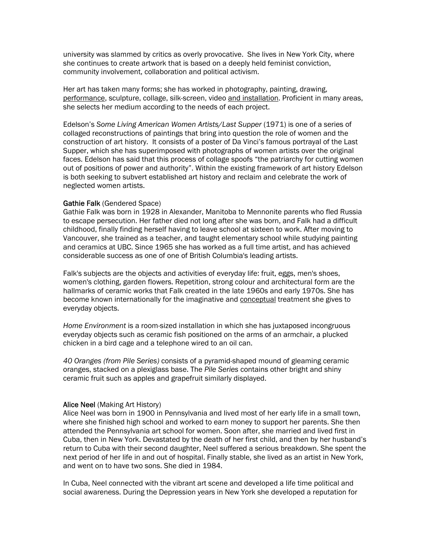university was slammed by critics as overly provocative. She lives in New York City, where she continues to create artwork that is based on a deeply held feminist conviction, community involvement, collaboration and political activism.

Her art has taken many forms; she has worked in photography, painting, drawing, performance, sculpture, collage, silk-screen, video and installation. Proficient in many areas, she selects her medium according to the needs of each project.

Edelson's *Some Living American Women Artists/Last Supper* (1971) is one of a series of collaged reconstructions of paintings that bring into question the role of women and the construction of art history. It consists of a poster of Da Vinci's famous portrayal of the Last Supper, which she has superimposed with photographs of women artists over the original faces. Edelson has said that this process of collage spoofs "the patriarchy for cutting women out of positions of power and authority". Within the existing framework of art history Edelson is both seeking to subvert established art history and reclaim and celebrate the work of neglected women artists.

#### Gathie Falk (Gendered Space)

Gathie Falk was born in 1928 in Alexander, Manitoba to Mennonite parents who fled Russia to escape persecution. Her father died not long after she was born, and Falk had a difficult childhood, finally finding herself having to leave school at sixteen to work. After moving to Vancouver, she trained as a teacher, and taught elementary school while studying painting and ceramics at UBC. Since 1965 she has worked as a full time artist, and has achieved considerable success as one of one of British Columbia's leading artists.

Falk's subjects are the objects and activities of everyday life: fruit, eggs, men's shoes, women's clothing, garden flowers. Repetition, strong colour and architectural form are the hallmarks of ceramic works that Falk created in the late 1960s and early 1970s. She has become known internationally for the imaginative and conceptual treatment she gives to everyday objects.

*Home Environment* is a room-sized installation in which she has juxtaposed incongruous everyday objects such as ceramic fish positioned on the arms of an armchair, a plucked chicken in a bird cage and a telephone wired to an oil can.

*40 Oranges (from Pile Series)* consists of a pyramid-shaped mound of gleaming ceramic oranges, stacked on a plexiglass base. The *Pile Series* contains other bright and shiny ceramic fruit such as apples and grapefruit similarly displayed.

#### Alice Neel (Making Art History)

Alice Neel was born in 1900 in Pennsylvania and lived most of her early life in a small town, where she finished high school and worked to earn money to support her parents. She then attended the Pennsylvania art school for women. Soon after, she married and lived first in Cuba, then in New York. Devastated by the death of her first child, and then by her husband's return to Cuba with their second daughter, Neel suffered a serious breakdown. She spent the next period of her life in and out of hospital. Finally stable, she lived as an artist in New York, and went on to have two sons. She died in 1984.

In Cuba, Neel connected with the vibrant art scene and developed a life time political and social awareness. During the Depression years in New York she developed a reputation for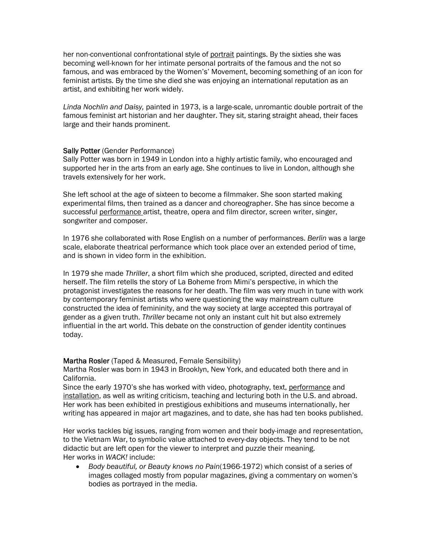her non-conventional confrontational style of portrait paintings. By the sixties she was becoming well-known for her intimate personal portraits of the famous and the not so famous, and was embraced by the Women's' Movement, becoming something of an icon for feminist artists. By the time she died she was enjoying an international reputation as an artist, and exhibiting her work widely.

*Linda Nochlin and Daisy,* painted in 1973, is a large-scale, unromantic double portrait of the famous feminist art historian and her daughter. They sit, staring straight ahead, their faces large and their hands prominent.

#### Sally Potter (Gender Performance)

Sally Potter was born in 1949 in London into a highly artistic family, who encouraged and supported her in the arts from an early age. She continues to live in London, although she travels extensively for her work.

She left school at the age of sixteen to become a filmmaker. She soon started making experimental films, then trained as a dancer and choreographer. She has since become a successful performance artist, theatre, opera and film director, screen writer, singer, songwriter and composer.

In 1976 she collaborated with Rose English on a number of performances. *Berlin* was a large scale, elaborate theatrical performance which took place over an extended period of time, and is shown in video form in the exhibition.

In 1979 she made *Thriller*, a short film which she produced, scripted, directed and edited herself. The film retells the story of La Boheme from Mimi's perspective, in which the protagonist investigates the reasons for her death. The film was very much in tune with work by contemporary feminist artists who were questioning the way mainstream culture constructed the idea of femininity, and the way society at large accepted this portrayal of gender as a given truth. *Thriller* became not only an instant cult hit but also extremely influential in the art world. This debate on the construction of gender identity continues today.

#### Martha Rosler (Taped & Measured, Female Sensibility)

Martha Rosler was born in 1943 in Brooklyn, New York, and educated both there and in California.

Since the early 1970's she has worked with video, photography, text, performance and installation, as well as writing criticism, teaching and lecturing both in the U.S. and abroad. Her work has been exhibited in prestigious exhibitions and museums internationally, her writing has appeared in major art magazines, and to date, she has had ten books published.

Her works tackles big issues, ranging from women and their body-image and representation, to the Vietnam War, to symbolic value attached to every-day objects. They tend to be not didactic but are left open for the viewer to interpret and puzzle their meaning. Her works in *WACK!* include:

• *Body beautiful, or Beauty knows no Pain*(1966-1972) which consist of a series of images collaged mostly from popular magazines, giving a commentary on women's bodies as portrayed in the media.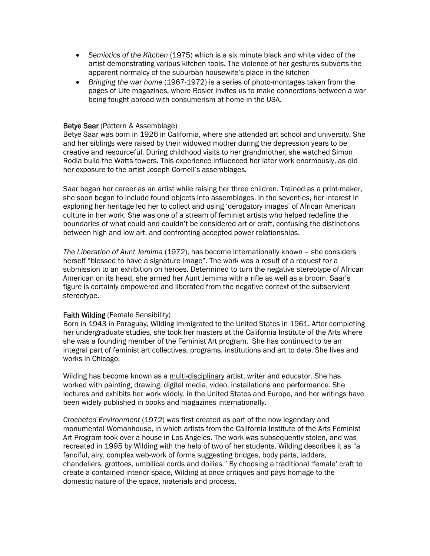- *Semiotics of the Kitchen* (1975) which is a six minute black and white video of the artist demonstrating various kitchen tools. The violence of her gestures subverts the apparent normalcy of the suburban housewife's place in the kitchen
- *Bringing the war home* (1967-1972) is a series of photo-montages taken from the pages of Life magazines, where Rosler invites us to make connections between a war being fought abroad with consumerism at home in the USA.

#### Betye Saar (Pattern & Assemblage)

Betye Saar was born in 1926 in California, where she attended art school and university. She and her siblings were raised by their widowed mother during the depression years to be creative and resourceful. During childhood visits to her grandmother, she watched Simon Rodia build the Watts towers. This experience influenced her later work enormously, as did her exposure to the artist Joseph Cornell's assemblages.

Saar began her career as an artist while raising her three children. Trained as a print-maker, she soon began to include found objects into assemblages. In the seventies, her interest in exploring her heritage led her to collect and using 'derogatory images' of African American culture in her work. She was one of a stream of feminist artists who helped redefine the boundaries of what could and couldn't be considered art or craft, confusing the distinctions between high and low art, and confronting accepted power relationships.

*The Liberation of Aunt Jemima* (1972), has become internationally known – she considers herself "blessed to have a signature image". The work was a result of a request for a submission to an exhibition on heroes. Determined to turn the negative stereotype of African American on its head, she armed her Aunt Jemima with a rifle as well as a broom. Saar's figure is certainly empowered and liberated from the negative context of the subservient stereotype.

#### Faith Wilding (Female Sensibility)

Born in 1943 in Paraguay, Wilding immigrated to the United States in 1961. After completing her undergraduate studies, she took her masters at the California Institute of the Arts where she was a founding member of the Feminist Art program. She has continued to be an integral part of feminist art collectives, programs, institutions and art to date. She lives and works in Chicago.

Wilding has become known as a multi-disciplinary artist, writer and educator. She has worked with painting, drawing, digital media, video, installations and performance. She lectures and exhibits her work widely, in the United States and Europe, and her writings have been widely published in books and magazines internationally.

*Crocheted Environment* (1972) was first created as part of the now legendary and monumental Womanhouse, in which artists from the California Institute of the Arts Feminist Art Program took over a house in Los Angeles. The work was subsequently stolen, and was recreated in 1995 by Wilding with the help of two of her students. Wilding describes it as "a fanciful, airy, complex web-work of forms suggesting bridges, body parts, ladders, chandeliers, grottoes, umbilical cords and doilies." By choosing a traditional 'female' craft to create a contained interior space, Wilding at once critiques and pays homage to the domestic nature of the space, materials and process.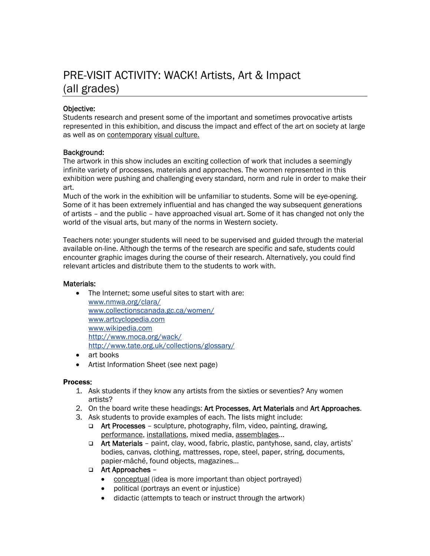## PRE-VISIT ACTIVITY: WACK! Artists, Art & Impact (all grades)

#### Objective:

Students research and present some of the important and sometimes provocative artists represented in this exhibition, and discuss the impact and effect of the art on society at large as well as on contemporary visual culture.

#### Background:

The artwork in this show includes an exciting collection of work that includes a seemingly infinite variety of processes, materials and approaches. The women represented in this exhibition were pushing and challenging every standard, norm and rule in order to make their art.

Much of the work in the exhibition will be unfamiliar to students. Some will be eye-opening. Some of it has been extremely influential and has changed the way subsequent generations of artists – and the public – have approached visual art. Some of it has changed not only the world of the visual arts, but many of the norms in Western society.

Teachers note: younger students will need to be supervised and guided through the material available on-line. Although the terms of the research are specific and safe, students could encounter graphic images during the course of their research. Alternatively, you could find relevant articles and distribute them to the students to work with.

#### Materials:

- The Internet; some useful sites to start with are: [www.nmwa.org/clara/](http://www.nmwa.org/clara/) [www.collectionscanada.gc.ca/women/](http://www.collectionscanada.gc.ca/women/) [www.artcyclopedia.com](http://www.artcyclopedia.com/) [www.wikipedia.com](http://www.wikipedia.com/) <http://www.moca.org/wack/> <http://www.tate.org.uk/collections/glossary/>
- art books
- Artist Information Sheet (see next page)

#### Process:

- 1. Ask students if they know any artists from the sixties or seventies? Any women artists?
- 2. On the board write these headings: Art Processes, Art Materials and Art Approaches.
- 3. Ask students to provide examples of each. The lists might include:
	- $\Box$  Art Processes sculpture, photography, film, video, painting, drawing, performance, installations, mixed media, assemblages...
	- Art Materials paint, clay, wood, fabric, plastic, pantyhose, sand, clay, artists' bodies, canvas, clothing, mattresses, rope, steel, paper, string, documents, papier-mâché, found objects, magazines...
	- Art Approaches
		- conceptual (idea is more important than object portrayed)
		- political (portrays an event or injustice)
		- didactic (attempts to teach or instruct through the artwork)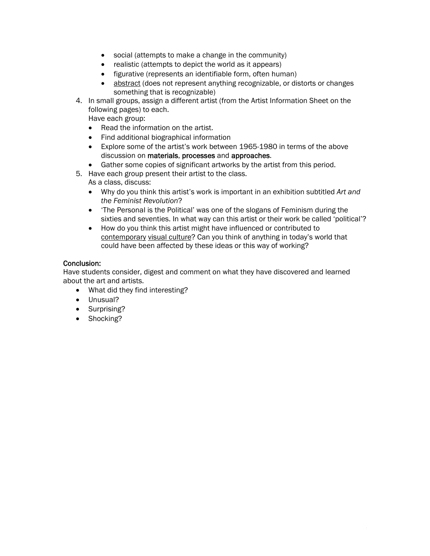- social (attempts to make a change in the community)
- realistic (attempts to depict the world as it appears)
- figurative (represents an identifiable form, often human)
- abstract (does not represent anything recognizable, or distorts or changes something that is recognizable)
- 4. In small groups, assign a different artist (from the Artist Information Sheet on the following pages) to each.

Have each group:

- Read the information on the artist.
- Find additional biographical information
- Explore some of the artist's work between 1965-1980 in terms of the above discussion on materials, processes and approaches.
- Gather some copies of significant artworks by the artist from this period.
- 5. Have each group present their artist to the class. As a class, discuss:
	- Why do you think this artist's work is important in an exhibition subtitled *Art and the Feminist Revolution*?
	- 'The Personal is the Political' was one of the slogans of Feminism during the sixties and seventies. In what way can this artist or their work be called 'political'?
	- How do you think this artist might have influenced or contributed to contemporary visual culture? Can you think of anything in today's world that could have been affected by these ideas or this way of working?

#### Conclusion:

Have students consider, digest and comment on what they have discovered and learned about the art and artists.

- What did they find interesting?
- Unusual?
- Surprising?
- Shocking?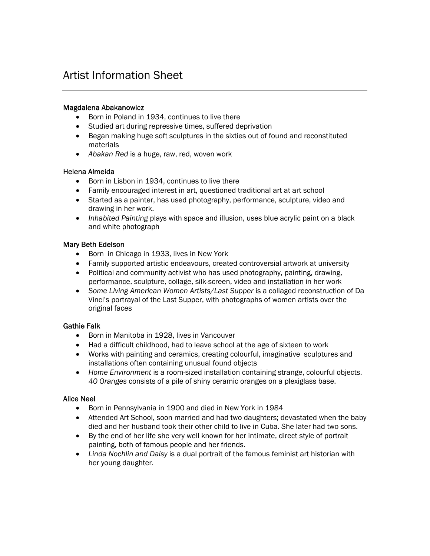## Artist Information Sheet

#### Magdalena Abakanowicz

- Born in Poland in 1934, continues to live there
- Studied art during repressive times, suffered deprivation
- Began making huge soft sculptures in the sixties out of found and reconstituted materials
- *Abakan Red* is a huge, raw, red, woven work

#### Helena Almeida

- Born in Lisbon in 1934, continues to live there
- Family encouraged interest in art, questioned traditional art at art school
- Started as a painter, has used photography, performance, sculpture, video and drawing in her work.
- *Inhabited Painting* plays with space and illusion, uses blue acrylic paint on a black and white photograph

#### Mary Beth Edelson

- Born in Chicago in 1933, lives in New York
- Family supported artistic endeavours, created controversial artwork at university
- Political and community activist who has used photography, painting, drawing, performance, sculpture, collage, silk-screen, video and installation in her work
- *Some Living American Women Artists/Last Supper* is a collaged reconstruction of Da Vinci's portrayal of the Last Supper, with photographs of women artists over the original faces

#### Gathie Falk

- Born in Manitoba in 1928, lives in Vancouver
- Had a difficult childhood, had to leave school at the age of sixteen to work
- Works with painting and ceramics, creating colourful, imaginative sculptures and installations often containing unusual found objects
- *Home Environment* is a room-sized installation containing strange, colourful objects. *40 Oranges* consists of a pile of shiny ceramic oranges on a plexiglass base.

#### Alice Neel

- Born in Pennsylvania in 1900 and died in New York in 1984
- Attended Art School, soon married and had two daughters; devastated when the baby died and her husband took their other child to live in Cuba. She later had two sons.
- By the end of her life she very well known for her intimate, direct style of portrait painting, both of famous people and her friends.
- *Linda Nochlin and Daisy* is a dual portrait of the famous feminist art historian with her young daughter.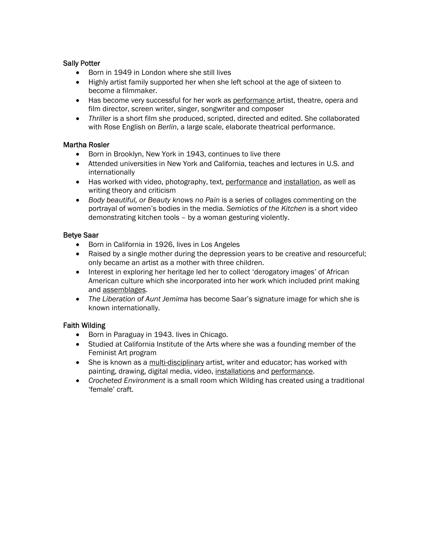#### Sally Potter

- Born in 1949 in London where she still lives
- Highly artist family supported her when she left school at the age of sixteen to become a filmmaker.
- Has become very successful for her work as performance artist, theatre, opera and film director, screen writer, singer, songwriter and composer
- *Thriller* is a short film she produced, scripted, directed and edited. She collaborated with Rose English on *Berlin*, a large scale, elaborate theatrical performance.

#### Martha Rosler

- Born in Brooklyn, New York in 1943, continues to live there
- Attended universities in New York and California, teaches and lectures in U.S. and internationally
- Has worked with video, photography, text, performance and installation, as well as writing theory and criticism
- *Body beautiful, or Beauty knows no Pain* is a series of collages commenting on the portrayal of women's bodies in the media. *Semiotics of the Kitchen* is a short video demonstrating kitchen tools – by a woman gesturing violently.

#### Betye Saar

- Born in California in 1926, lives in Los Angeles
- Raised by a single mother during the depression years to be creative and resourceful; only became an artist as a mother with three children.
- Interest in exploring her heritage led her to collect 'derogatory images' of African American culture which she incorporated into her work which included print making and assemblages.
- *The Liberation of Aunt Jemima* has become Saar's signature image for which she is known internationally.

#### Faith Wilding

- Born in Paraguay in 1943. lives in Chicago.
- Studied at California Institute of the Arts where she was a founding member of the Feminist Art program
- She is known as a multi-disciplinary artist, writer and educator; has worked with painting, drawing, digital media, video, installations and performance.
- *Crocheted Environment* is a small room which Wilding has created using a traditional 'female' craft.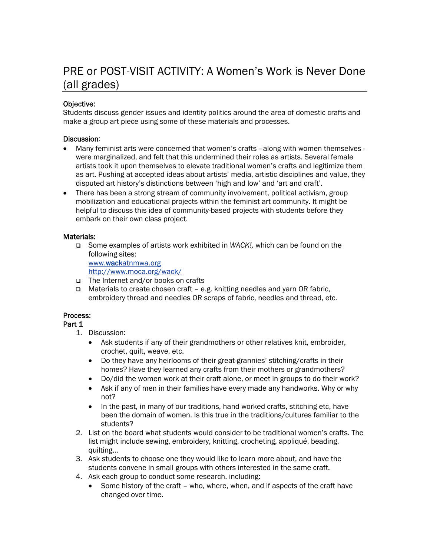## PRE or POST-VISIT ACTIVITY: A Women's Work is Never Done (all grades)

#### Objective:

Students discuss gender issues and identity politics around the area of domestic crafts and make a group art piece using some of these materials and processes.

#### Discussion:

- Many feminist arts were concerned that women's crafts –along with women themselves were marginalized, and felt that this undermined their roles as artists. Several female artists took it upon themselves to elevate traditional women's crafts and legitimize them as art. Pushing at accepted ideas about artists' media, artistic disciplines and value, they disputed art history's distinctions between 'high and low' and 'art and craft'.
- There has been a strong stream of community involvement, political activism, group mobilization and educational projects within the feminist art community. It might be helpful to discuss this idea of community-based projects with students before they embark on their own class project.

#### Materials:

 Some examples of artists work exhibited in *WACK!,* which can be found on the following sites:

[www.wackatnmwa.org](http://www.wackatnmwa.org/)

<http://www.moca.org/wack/>

- □ The Internet and/or books on crafts
- □ Materials to create chosen craft e.g. knitting needles and yarn OR fabric, embroidery thread and needles OR scraps of fabric, needles and thread, etc.

#### Process:

#### Part 1

1. Discussion:

- Ask students if any of their grandmothers or other relatives knit, embroider, crochet, quilt, weave, etc.
- Do they have any heirlooms of their great-grannies' stitching/crafts in their homes? Have they learned any crafts from their mothers or grandmothers?
- Do/did the women work at their craft alone, or meet in groups to do their work?
- Ask if any of men in their families have every made any handworks. Why or why not?
- In the past, in many of our traditions, hand worked crafts, stitching etc, have been the domain of women. Is this true in the traditions/cultures familiar to the students?
- 2. List on the board what students would consider to be traditional women's crafts. The list might include sewing, embroidery, knitting, crocheting, appliqué, beading, quilting...
- 3. Ask students to choose one they would like to learn more about, and have the students convene in small groups with others interested in the same craft.
- 4. Ask each group to conduct some research, including:
	- Some history of the craft who, where, when, and if aspects of the craft have changed over time.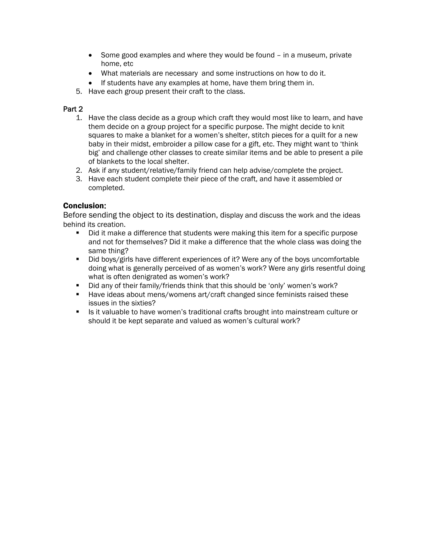- Some good examples and where they would be found in a museum, private home, etc
- What materials are necessary and some instructions on how to do it.
- If students have any examples at home, have them bring them in.
- 5. Have each group present their craft to the class.

#### Part 2

- 1. Have the class decide as a group which craft they would most like to learn, and have them decide on a group project for a specific purpose. The might decide to knit squares to make a blanket for a women's shelter, stitch pieces for a quilt for a new baby in their midst, embroider a pillow case for a gift, etc. They might want to 'think big' and challenge other classes to create similar items and be able to present a pile of blankets to the local shelter.
- 2. Ask if any student/relative/family friend can help advise/complete the project.
- 3. Have each student complete their piece of the craft, and have it assembled or completed.

#### Conclusion:

Before sending the object to its destination, display and discuss the work and the ideas behind its creation.

- Did it make a difference that students were making this item for a specific purpose and not for themselves? Did it make a difference that the whole class was doing the same thing?
- Did boys/girls have different experiences of it? Were any of the boys uncomfortable doing what is generally perceived of as women's work? Were any girls resentful doing what is often denigrated as women's work?
- Did any of their family/friends think that this should be 'only' women's work?
- **Have ideas about mens/womens art/craft changed since feminists raised these** issues in the sixties?
- Is it valuable to have women's traditional crafts brought into mainstream culture or should it be kept separate and valued as women's cultural work?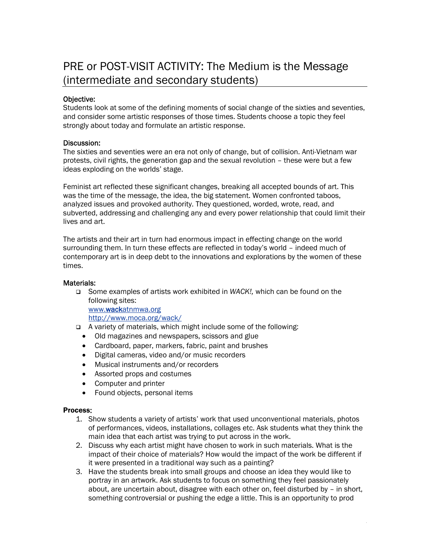## PRE or POST-VISIT ACTIVITY: The Medium is the Message (intermediate and secondary students)

#### Objective:

Students look at some of the defining moments of social change of the sixties and seventies, and consider some artistic responses of those times. Students choose a topic they feel strongly about today and formulate an artistic response.

#### Discussion:

The sixties and seventies were an era not only of change, but of collision. Anti-Vietnam war protests, civil rights, the generation gap and the sexual revolution – these were but a few ideas exploding on the worlds' stage.

Feminist art reflected these significant changes, breaking all accepted bounds of art. This was the time of the message, the idea, the big statement. Women confronted taboos, analyzed issues and provoked authority. They questioned, worded, wrote, read, and subverted, addressing and challenging any and every power relationship that could limit their lives and art.

The artists and their art in turn had enormous impact in effecting change on the world surrounding them. In turn these effects are reflected in today's world – indeed much of contemporary art is in deep debt to the innovations and explorations by the women of these times.

#### Materials:

 Some examples of artists work exhibited in *WACK!,* which can be found on the following sites:

[www.wackatnmwa.org](http://www.wackatnmwa.org/)

<http://www.moca.org/wack/>

- A variety of materials, which might include some of the following:
	- Old magazines and newspapers, scissors and glue
	- Cardboard, paper, markers, fabric, paint and brushes
	- Digital cameras, video and/or music recorders
	- Musical instruments and/or recorders
	- Assorted props and costumes
	- Computer and printer
	- Found objects, personal items

#### Process:

- 1. Show students a variety of artists' work that used unconventional materials, photos of performances, videos, installations, collages etc. Ask students what they think the main idea that each artist was trying to put across in the work.
- 2. Discuss why each artist might have chosen to work in such materials. What is the impact of their choice of materials? How would the impact of the work be different if it were presented in a traditional way such as a painting?
- 3. Have the students break into small groups and choose an idea they would like to portray in an artwork. Ask students to focus on something they feel passionately about, are uncertain about, disagree with each other on, feel disturbed by – in short, something controversial or pushing the edge a little. This is an opportunity to prod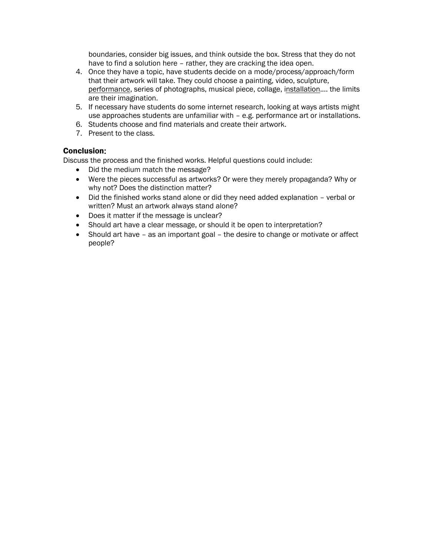boundaries, consider big issues, and think outside the box. Stress that they do not have to find a solution here – rather, they are cracking the idea open.

- 4. Once they have a topic, have students decide on a mode/process/approach/form that their artwork will take. They could choose a painting, video, sculpture, performance, series of photographs, musical piece, collage, installation.... the limits are their imagination.
- 5. If necessary have students do some internet research, looking at ways artists might use approaches students are unfamiliar with – e.g. performance art or installations.
- 6. Students choose and find materials and create their artwork.
- 7. Present to the class.

#### Conclusion:

Discuss the process and the finished works. Helpful questions could include:

- Did the medium match the message?
- Were the pieces successful as artworks? Or were they merely propaganda? Why or why not? Does the distinction matter?
- Did the finished works stand alone or did they need added explanation verbal or written? Must an artwork always stand alone?
- Does it matter if the message is unclear?
- Should art have a clear message, or should it be open to interpretation?
- Should art have as an important goal the desire to change or motivate or affect people?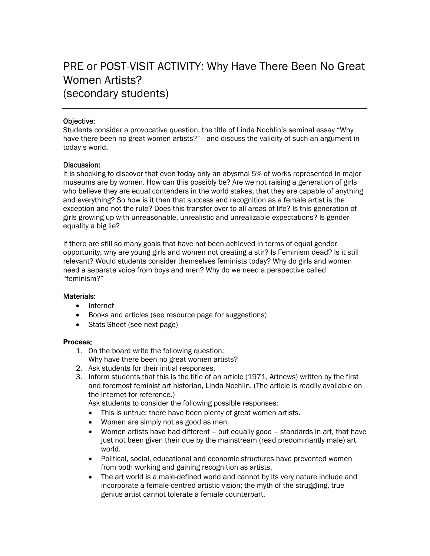## PRE or POST-VISIT ACTIVITY: Why Have There Been No Great Women Artists? (secondary students)

#### Objective:

Students consider a provocative question, the title of Linda Nochlin's seminal essay "Why have there been no great women artists?"– and discuss the validity of such an argument in today's world.

#### Discussion:

It is shocking to discover that even today only an abysmal 5% of works represented in major museums are by women. How can this possibly be? Are we not raising a generation of girls who believe they are equal contenders in the world stakes, that they are capable of anything and everything? So how is it then that success and recognition as a female artist is the exception and not the rule? Does this transfer over to all areas of life? Is this generation of girls growing up with unreasonable, unrealistic and unrealizable expectations? Is gender equality a big lie?

If there are still so many goals that have not been achieved in terms of equal gender opportunity, why are young girls and women not creating a stir? Is Feminism dead? Is it still relevant? Would students consider themselves feminists today? Why do girls and women need a separate voice from boys and men? Why do we need a perspective called "feminism?"

#### Materials:

- Internet
- Books and articles (see resource page for suggestions)
- Stats Sheet (see next page)

#### Process:

- 1. On the board write the following question:
- Why have there been no great women artists?
- 2. Ask students for their initial responses.
- 3. Inform students that this is the title of an article (1971, Artnews) written by the first and foremost feminist art historian, Linda Nochlin. (The article is readily available on the Internet for reference.)

Ask students to consider the following possible responses:

- This is untrue; there have been plenty of great women artists.
- Women are simply not as good as men.
- Women artists have had different but equally good standards in art, that have just not been given their due by the mainstream (read predominantly male) art world.
- Political, social, educational and economic structures have prevented women from both working and gaining recognition as artists.
- The art world is a male-defined world and cannot by its very nature include and incorporate a female-centred artistic vision; the myth of the struggling, true genius artist cannot tolerate a female counterpart.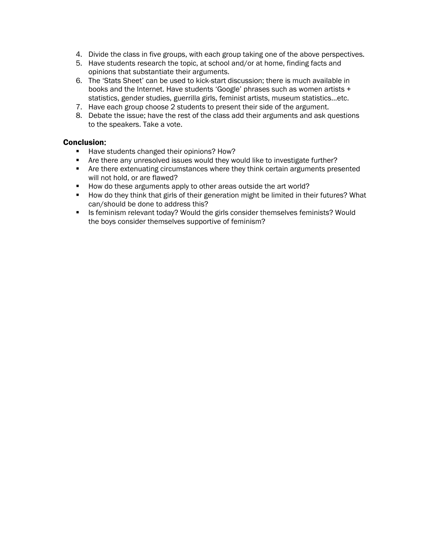- 4. Divide the class in five groups, with each group taking one of the above perspectives.
- 5. Have students research the topic, at school and/or at home, finding facts and opinions that substantiate their arguments.
- 6. The 'Stats Sheet' can be used to kick-start discussion; there is much available in books and the Internet. Have students 'Google' phrases such as women artists + statistics, gender studies, guerrilla girls, feminist artists, museum statistics...etc.
- 7. Have each group choose 2 students to present their side of the argument.
- 8. Debate the issue; have the rest of the class add their arguments and ask questions to the speakers. Take a vote.

#### Conclusion:

- Have students changed their opinions? How?
- **F** Are there any unresolved issues would they would like to investigate further?
- Are there extenuating circumstances where they think certain arguments presented will not hold, or are flawed?
- How do these arguments apply to other areas outside the art world?
- **How do they think that girls of their generation might be limited in their futures? What** can/should be done to address this?
- Is feminism relevant today? Would the girls consider themselves feminists? Would the boys consider themselves supportive of feminism?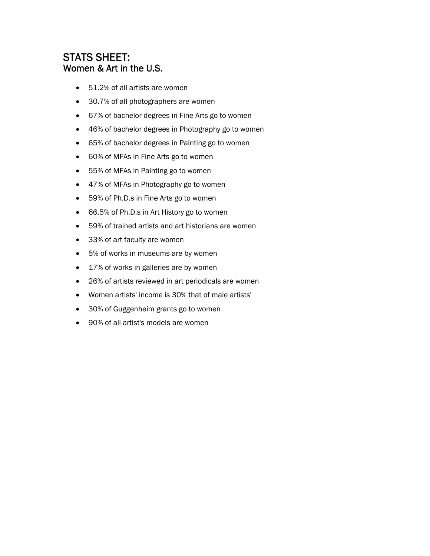### STATS SHEET: Women & Art in the U.S.

- 51.2% of all artists are women
- 30.7% of all photographers are women
- 67% of bachelor degrees in Fine Arts go to women
- 46% of bachelor degrees in Photography go to women
- 65% of bachelor degrees in Painting go to women
- 60% of MFAs in Fine Arts go to women
- 55% of MFAs in Painting go to women
- 47% of MFAs in Photography go to women
- 59% of Ph.D.s in Fine Arts go to women
- 66.5% of Ph.D.s in Art History go to women
- 59% of trained artists and art historians are women
- 33% of art faculty are women
- 5% of works in museums are by women
- 17% of works in galleries are by women
- 26% of artists reviewed in art periodicals are women
- Women artists' income is 30% that of male artists'
- 30% of Guggenheim grants go to women
- 90% of all artist's models are women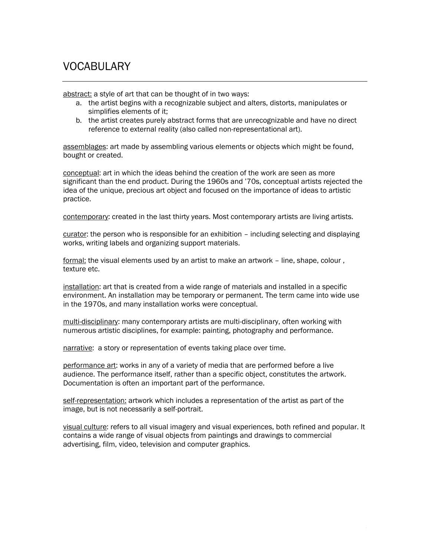## VOCABULARY

abstract: a style of art that can be thought of in two ways:

- a. the artist begins with a recognizable subject and alters, distorts, manipulates or simplifies elements of it;
- b. the artist creates purely abstract forms that are unrecognizable and have no direct reference to external reality (also called non-representational art).

assemblages: art made by assembling various elements or objects which might be found, bought or created.

conceptual: art in which the ideas behind the creation of the work are seen as more significant than the end product. During the 1960s and '70s, conceptual artists rejected the idea of the unique, precious art object and focused on the importance of ideas to artistic practice.

contemporary: created in the last thirty years. Most contemporary artists are living artists.

curator: the person who is responsible for an exhibition – including selecting and displaying works, writing labels and organizing support materials.

formal: the visual elements used by an artist to make an artwork – line, shape, colour , texture etc.

installation: art that is created from a wide range of materials and installed in a specific environment. An installation may be temporary or permanent. The term came into wide use in the 1970s, and many installation works were conceptual.

multi-disciplinary: many contemporary artists are multi-disciplinary, often working with numerous artistic disciplines, for example: painting, photography and performance.

narrative: a story or representation of events taking place over time.

performance art: works in any of a variety of media that are performed before a live audience. The performance itself, rather than a specific object, constitutes the artwork. Documentation is often an important part of the performance.

self-representation: artwork which includes a representation of the artist as part of the image, but is not necessarily a self-portrait.

visual culture: refers to all visual imagery and visual experiences, both refined and popular. It contains a wide range of visual objects from paintings and drawings to commercial advertising, film, video, television and computer graphics.